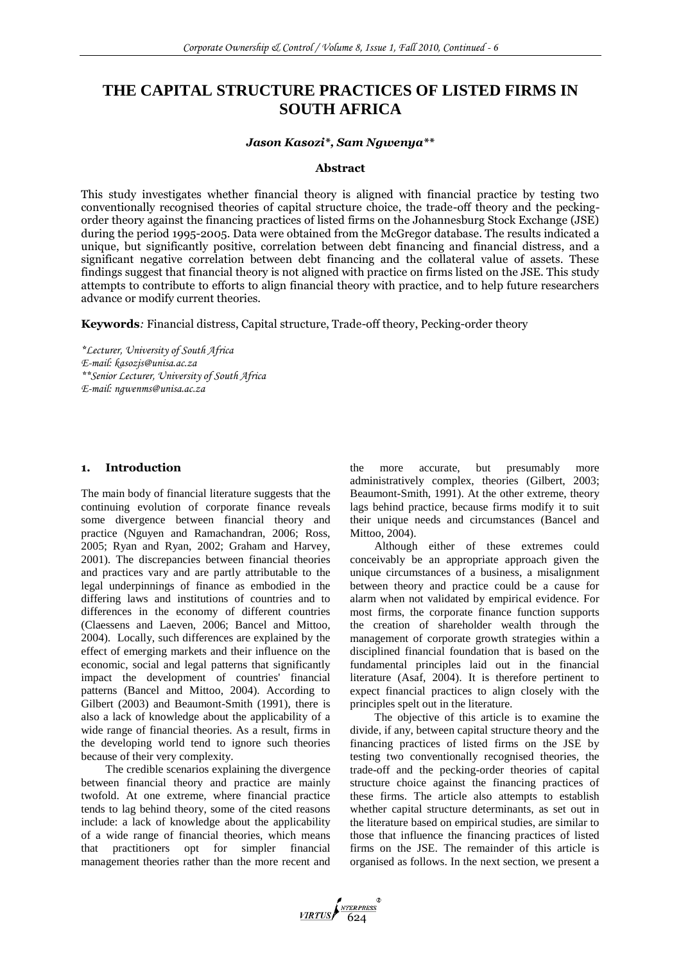# **THE CAPITAL STRUCTURE PRACTICES OF LISTED FIRMS IN SOUTH AFRICA**

## *Jason Kasozi\*, Sam Ngwenya\*\**

## **Abstract**

This study investigates whether financial theory is aligned with financial practice by testing two conventionally recognised theories of capital structure choice, the trade-off theory and the peckingorder theory against the financing practices of listed firms on the Johannesburg Stock Exchange (JSE) during the period 1995-2005. Data were obtained from the McGregor database. The results indicated a unique, but significantly positive, correlation between debt financing and financial distress, and a significant negative correlation between debt financing and the collateral value of assets. These findings suggest that financial theory is not aligned with practice on firms listed on the JSE. This study attempts to contribute to efforts to align financial theory with practice, and to help future researchers advance or modify current theories.

**Keywords***:* Financial distress, Capital structure, Trade-off theory, Pecking-order theory

*\*Lecturer, University of South Africa E-mail: [kasozjs@unisa.ac.za](mailto:kasozjs@unisa.ac.za) \*\*Senior Lecturer, University of South Africa E-mail: [ngwenms@unisa.ac.za](mailto:ngwenms@unisa.ac.za)*

## **1. Introduction**

The main body of financial literature suggests that the continuing evolution of corporate finance reveals some divergence between financial theory and practice (Nguyen and Ramachandran, 2006; Ross, 2005; Ryan and Ryan, 2002; Graham and Harvey, 2001). The discrepancies between financial theories and practices vary and are partly attributable to the legal underpinnings of finance as embodied in the differing laws and institutions of countries and to differences in the economy of different countries (Claessens and Laeven, 2006; Bancel and Mittoo, 2004). Locally, such differences are explained by the effect of emerging markets and their influence on the economic, social and legal patterns that significantly impact the development of countries' financial patterns (Bancel and Mittoo, 2004). According to Gilbert (2003) and Beaumont-Smith (1991), there is also a lack of knowledge about the applicability of a wide range of financial theories. As a result, firms in the developing world tend to ignore such theories because of their very complexity.

The credible scenarios explaining the divergence between financial theory and practice are mainly twofold. At one extreme, where financial practice tends to lag behind theory, some of the cited reasons include: a lack of knowledge about the applicability of a wide range of financial theories, which means that practitioners opt for simpler financial management theories rather than the more recent and the more accurate, but presumably more administratively complex, theories (Gilbert, 2003; Beaumont-Smith, 1991). At the other extreme, theory lags behind practice, because firms modify it to suit their unique needs and circumstances (Bancel and Mittoo, 2004).

Although either of these extremes could conceivably be an appropriate approach given the unique circumstances of a business, a misalignment between theory and practice could be a cause for alarm when not validated by empirical evidence. For most firms, the corporate finance function supports the creation of shareholder wealth through the management of corporate growth strategies within a disciplined financial foundation that is based on the fundamental principles laid out in the financial literature (Asaf, 2004). It is therefore pertinent to expect financial practices to align closely with the principles spelt out in the literature.

The objective of this article is to examine the divide, if any, between capital structure theory and the financing practices of listed firms on the JSE by testing two conventionally recognised theories, the trade-off and the pecking-order theories of capital structure choice against the financing practices of these firms. The article also attempts to establish whether capital structure determinants, as set out in the literature based on empirical studies, are similar to those that influence the financing practices of listed firms on the JSE. The remainder of this article is organised as follows. In the next section, we present a

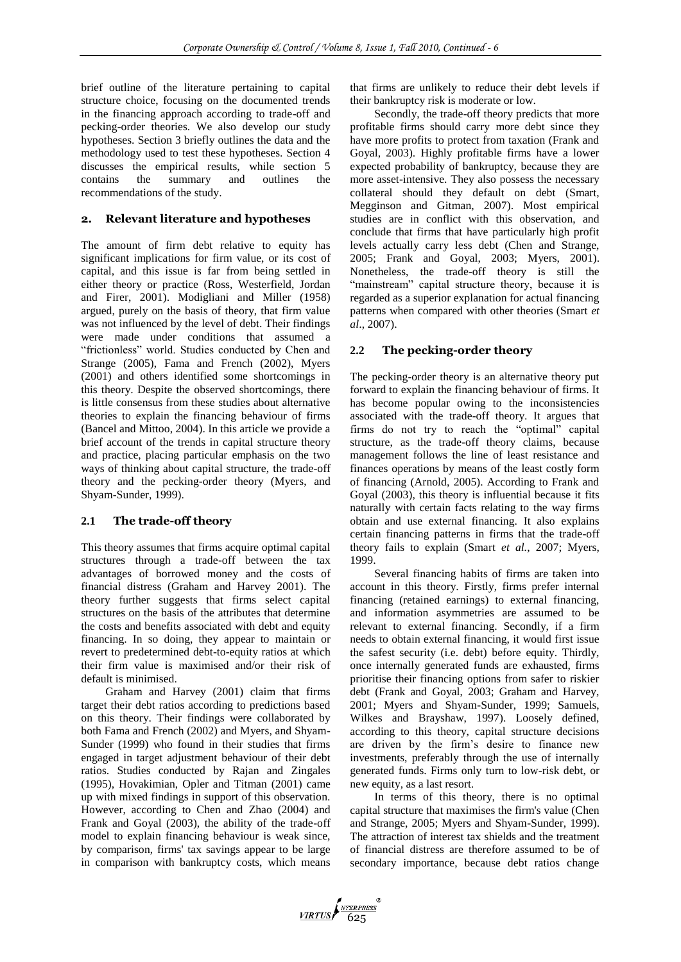brief outline of the literature pertaining to capital structure choice, focusing on the documented trends in the financing approach according to trade-off and pecking-order theories. We also develop our study hypotheses. Section 3 briefly outlines the data and the methodology used to test these hypotheses. Section 4 discusses the empirical results, while section 5 contains the summary and outlines the contains the summary and outlines the recommendations of the study.

## **2. Relevant literature and hypotheses**

The amount of firm debt relative to equity has significant implications for firm value, or its cost of capital, and this issue is far from being settled in either theory or practice (Ross, Westerfield, Jordan and Firer, 2001). Modigliani and Miller (1958) argued, purely on the basis of theory, that firm value was not influenced by the level of debt. Their findings were made under conditions that assumed a "frictionless" world. Studies conducted by Chen and Strange (2005), Fama and French (2002), Myers (2001) and others identified some shortcomings in this theory. Despite the observed shortcomings, there is little consensus from these studies about alternative theories to explain the financing behaviour of firms (Bancel and Mittoo, 2004). In this article we provide a brief account of the trends in capital structure theory and practice, placing particular emphasis on the two ways of thinking about capital structure, the trade-off theory and the pecking-order theory (Myers, and Shyam-Sunder, 1999).

## **2.1 The trade-off theory**

This theory assumes that firms acquire optimal capital structures through a trade-off between the tax advantages of borrowed money and the costs of financial distress (Graham and Harvey 2001). The theory further suggests that firms select capital structures on the basis of the attributes that determine the costs and benefits associated with debt and equity financing. In so doing, they appear to maintain or revert to predetermined debt-to-equity ratios at which their firm value is maximised and/or their risk of default is minimised.

Graham and Harvey (2001) claim that firms target their debt ratios according to predictions based on this theory. Their findings were collaborated by both Fama and French (2002) and Myers, and Shyam-Sunder (1999) who found in their studies that firms engaged in target adjustment behaviour of their debt ratios. Studies conducted by Rajan and Zingales (1995), Hovakimian, Opler and Titman (2001) came up with mixed findings in support of this observation. However, according to Chen and Zhao (2004) and Frank and Goyal (2003), the ability of the trade-off model to explain financing behaviour is weak since, by comparison, firms' tax savings appear to be large in comparison with bankruptcy costs, which means

that firms are unlikely to reduce their debt levels if their bankruptcy risk is moderate or low.

Secondly, the trade-off theory predicts that more profitable firms should carry more debt since they have more profits to protect from taxation (Frank and Goyal, 2003). Highly profitable firms have a lower expected probability of bankruptcy, because they are more asset-intensive. They also possess the necessary collateral should they default on debt (Smart, Megginson and Gitman, 2007). Most empirical studies are in conflict with this observation, and conclude that firms that have particularly high profit levels actually carry less debt (Chen and Strange, 2005; Frank and Goyal, 2003; Myers, 2001). Nonetheless, the trade-off theory is still the "mainstream" capital structure theory, because it is regarded as a superior explanation for actual financing patterns when compared with other theories (Smart *et al*., 2007).

## **2.2 The pecking-order theory**

The pecking-order theory is an alternative theory put forward to explain the financing behaviour of firms. It has become popular owing to the inconsistencies associated with the trade-off theory. It argues that firms do not try to reach the "optimal" capital structure, as the trade-off theory claims, because management follows the line of least resistance and finances operations by means of the least costly form of financing (Arnold, 2005). According to Frank and Goyal (2003), this theory is influential because it fits naturally with certain facts relating to the way firms obtain and use external financing. It also explains certain financing patterns in firms that the trade-off theory fails to explain (Smart *et al.*, 2007; Myers, 1999.

Several financing habits of firms are taken into account in this theory. Firstly, firms prefer internal financing (retained earnings) to external financing, and information asymmetries are assumed to be relevant to external financing. Secondly, if a firm needs to obtain external financing, it would first issue the safest security (i.e. debt) before equity. Thirdly, once internally generated funds are exhausted, firms prioritise their financing options from safer to riskier debt (Frank and Goyal, 2003; Graham and Harvey, 2001; Myers and Shyam-Sunder, 1999; Samuels, Wilkes and Brayshaw, 1997). Loosely defined, according to this theory, capital structure decisions are driven by the firm"s desire to finance new investments, preferably through the use of internally generated funds. Firms only turn to low-risk debt, or new equity, as a last resort.

In terms of this theory, there is no optimal capital structure that maximises the firm's value (Chen and Strange, 2005; Myers and Shyam-Sunder, 1999). The attraction of interest tax shields and the treatment of financial distress are therefore assumed to be of secondary importance, because debt ratios change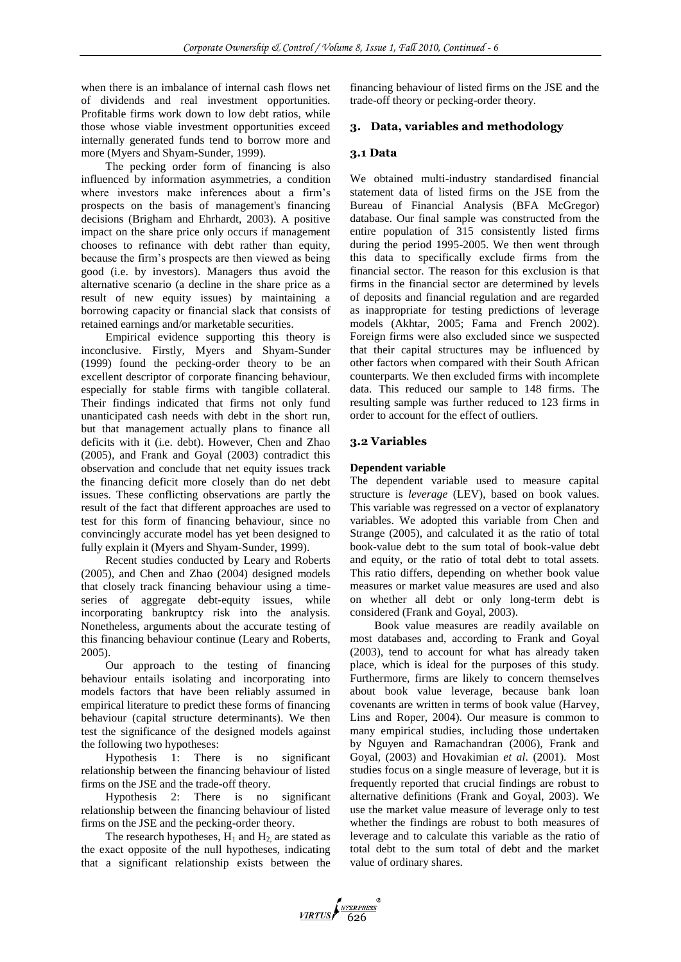when there is an imbalance of internal cash flows net of dividends and real investment opportunities. Profitable firms work down to low debt ratios, while those whose viable investment opportunities exceed internally generated funds tend to borrow more and more (Myers and Shyam-Sunder, 1999).

The pecking order form of financing is also influenced by information asymmetries, a condition where investors make inferences about a firm"s prospects on the basis of management's financing decisions (Brigham and Ehrhardt, 2003). A positive impact on the share price only occurs if management chooses to refinance with debt rather than equity, because the firm"s prospects are then viewed as being good (i.e. by investors). Managers thus avoid the alternative scenario (a decline in the share price as a result of new equity issues) by maintaining a borrowing capacity or financial slack that consists of retained earnings and/or marketable securities.

Empirical evidence supporting this theory is inconclusive. Firstly, Myers and Shyam-Sunder (1999) found the pecking-order theory to be an excellent descriptor of corporate financing behaviour, especially for stable firms with tangible collateral. Their findings indicated that firms not only fund unanticipated cash needs with debt in the short run, but that management actually plans to finance all deficits with it (i.e. debt). However, Chen and Zhao (2005), and Frank and Goyal (2003) contradict this observation and conclude that net equity issues track the financing deficit more closely than do net debt issues. These conflicting observations are partly the result of the fact that different approaches are used to test for this form of financing behaviour, since no convincingly accurate model has yet been designed to fully explain it (Myers and Shyam-Sunder, 1999).

Recent studies conducted by Leary and Roberts (2005), and Chen and Zhao (2004) designed models that closely track financing behaviour using a timeseries of aggregate debt-equity issues, while incorporating bankruptcy risk into the analysis. Nonetheless, arguments about the accurate testing of this financing behaviour continue (Leary and Roberts, 2005).

Our approach to the testing of financing behaviour entails isolating and incorporating into models factors that have been reliably assumed in empirical literature to predict these forms of financing behaviour (capital structure determinants). We then test the significance of the designed models against the following two hypotheses:

Hypothesis 1: There is no significant relationship between the financing behaviour of listed firms on the JSE and the trade-off theory.

Hypothesis 2: There is no significant relationship between the financing behaviour of listed firms on the JSE and the pecking-order theory.

The research hypotheses,  $H_1$  and  $H_2$  are stated as the exact opposite of the null hypotheses, indicating that a significant relationship exists between the financing behaviour of listed firms on the JSE and the trade-off theory or pecking-order theory.

## **3. Data, variables and methodology**

## **3.1 Data**

We obtained multi-industry standardised financial statement data of listed firms on the JSE from the Bureau of Financial Analysis (BFA McGregor) database. Our final sample was constructed from the entire population of 315 consistently listed firms during the period 1995-2005. We then went through this data to specifically exclude firms from the financial sector. The reason for this exclusion is that firms in the financial sector are determined by levels of deposits and financial regulation and are regarded as inappropriate for testing predictions of leverage models (Akhtar, 2005; Fama and French 2002). Foreign firms were also excluded since we suspected that their capital structures may be influenced by other factors when compared with their South African counterparts. We then excluded firms with incomplete data. This reduced our sample to 148 firms. The resulting sample was further reduced to 123 firms in order to account for the effect of outliers.

## **3.2 Variables**

## **Dependent variable**

The dependent variable used to measure capital structure is *leverage* (LEV), based on book values. This variable was regressed on a vector of explanatory variables. We adopted this variable from Chen and Strange (2005), and calculated it as the ratio of total book-value debt to the sum total of book-value debt and equity, or the ratio of total debt to total assets. This ratio differs, depending on whether book value measures or market value measures are used and also on whether all debt or only long-term debt is considered (Frank and Goyal, 2003).

Book value measures are readily available on most databases and, according to Frank and Goyal (2003), tend to account for what has already taken place, which is ideal for the purposes of this study. Furthermore, firms are likely to concern themselves about book value leverage, because bank loan covenants are written in terms of book value (Harvey, Lins and Roper, 2004). Our measure is common to many empirical studies, including those undertaken by Nguyen and Ramachandran (2006), Frank and Goyal, (2003) and Hovakimian *et al*. (2001). Most studies focus on a single measure of leverage, but it is frequently reported that crucial findings are robust to alternative definitions (Frank and Goyal, 2003). We use the market value measure of leverage only to test whether the findings are robust to both measures of leverage and to calculate this variable as the ratio of total debt to the sum total of debt and the market value of ordinary shares.

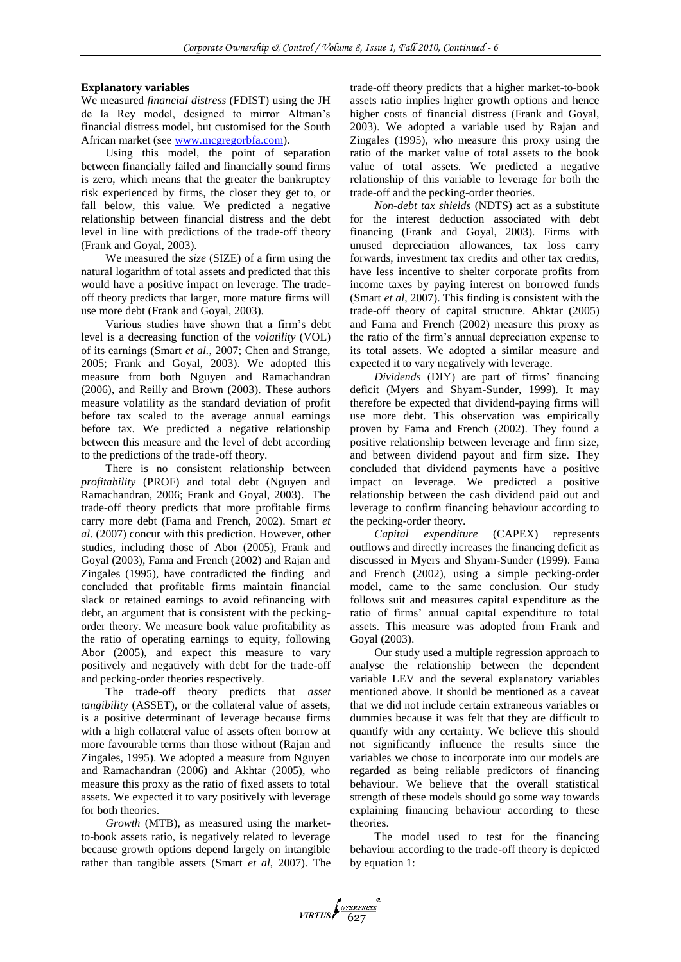## **Explanatory variables**

We measured *financial distress* (FDIST) using the JH de la Rey model, designed to mirror Altman"s financial distress model, but customised for the South African market (see [www.mcgregorbfa.com\)](http://www.mcgregorbfa.com/).

Using this model, the point of separation between financially failed and financially sound firms is zero, which means that the greater the bankruptcy risk experienced by firms, the closer they get to, or fall below, this value. We predicted a negative relationship between financial distress and the debt level in line with predictions of the trade-off theory (Frank and Goyal, 2003).

We measured the *size* (SIZE) of a firm using the natural logarithm of total assets and predicted that this would have a positive impact on leverage. The tradeoff theory predicts that larger, more mature firms will use more debt (Frank and Goyal, 2003).

Various studies have shown that a firm"s debt level is a decreasing function of the *volatility* (VOL) of its earnings (Smart *et al.*, 2007; Chen and Strange, 2005; Frank and Goyal, 2003). We adopted this measure from both Nguyen and Ramachandran (2006), and Reilly and Brown (2003). These authors measure volatility as the standard deviation of profit before tax scaled to the average annual earnings before tax. We predicted a negative relationship between this measure and the level of debt according to the predictions of the trade-off theory.

There is no consistent relationship between *profitability* (PROF) and total debt (Nguyen and Ramachandran, 2006; Frank and Goyal, 2003). The trade-off theory predicts that more profitable firms carry more debt (Fama and French, 2002). Smart *et al*. (2007) concur with this prediction. However, other studies, including those of Abor (2005), Frank and Goyal (2003), Fama and French (2002) and Rajan and Zingales (1995), have contradicted the finding and concluded that profitable firms maintain financial slack or retained earnings to avoid refinancing with debt, an argument that is consistent with the peckingorder theory. We measure book value profitability as the ratio of operating earnings to equity, following Abor (2005), and expect this measure to vary positively and negatively with debt for the trade-off and pecking-order theories respectively.

The trade-off theory predicts that *asset tangibility* (ASSET), or the collateral value of assets, is a positive determinant of leverage because firms with a high collateral value of assets often borrow at more favourable terms than those without (Rajan and Zingales, 1995). We adopted a measure from Nguyen and Ramachandran (2006) and Akhtar (2005), who measure this proxy as the ratio of fixed assets to total assets. We expected it to vary positively with leverage for both theories.

*Growth* (MTB), as measured using the marketto-book assets ratio, is negatively related to leverage because growth options depend largely on intangible rather than tangible assets (Smart *et al*, 2007). The trade-off theory predicts that a higher market-to-book assets ratio implies higher growth options and hence higher costs of financial distress (Frank and Goyal, 2003). We adopted a variable used by Rajan and Zingales (1995), who measure this proxy using the ratio of the market value of total assets to the book value of total assets. We predicted a negative relationship of this variable to leverage for both the trade-off and the pecking-order theories.

*Non-debt tax shields* (NDTS) act as a substitute for the interest deduction associated with debt financing (Frank and Goyal, 2003). Firms with unused depreciation allowances, tax loss carry forwards, investment tax credits and other tax credits, have less incentive to shelter corporate profits from income taxes by paying interest on borrowed funds (Smart *et al*, 2007). This finding is consistent with the trade-off theory of capital structure. Ahktar (2005) and Fama and French (2002) measure this proxy as the ratio of the firm"s annual depreciation expense to its total assets. We adopted a similar measure and expected it to vary negatively with leverage.

*Dividends* (DIY) are part of firms" financing deficit (Myers and Shyam-Sunder, 1999). It may therefore be expected that dividend-paying firms will use more debt. This observation was empirically proven by Fama and French (2002). They found a positive relationship between leverage and firm size, and between dividend payout and firm size. They concluded that dividend payments have a positive impact on leverage. We predicted a positive relationship between the cash dividend paid out and leverage to confirm financing behaviour according to the pecking-order theory.

*Capital expenditure* (CAPEX) represents outflows and directly increases the financing deficit as discussed in Myers and Shyam-Sunder (1999). Fama and French (2002), using a simple pecking-order model, came to the same conclusion. Our study follows suit and measures capital expenditure as the ratio of firms" annual capital expenditure to total assets. This measure was adopted from Frank and Goyal (2003).

Our study used a multiple regression approach to analyse the relationship between the dependent variable LEV and the several explanatory variables mentioned above. It should be mentioned as a caveat that we did not include certain extraneous variables or dummies because it was felt that they are difficult to quantify with any certainty. We believe this should not significantly influence the results since the variables we chose to incorporate into our models are regarded as being reliable predictors of financing behaviour. We believe that the overall statistical strength of these models should go some way towards explaining financing behaviour according to these theories.

The model used to test for the financing behaviour according to the trade-off theory is depicted by equation 1: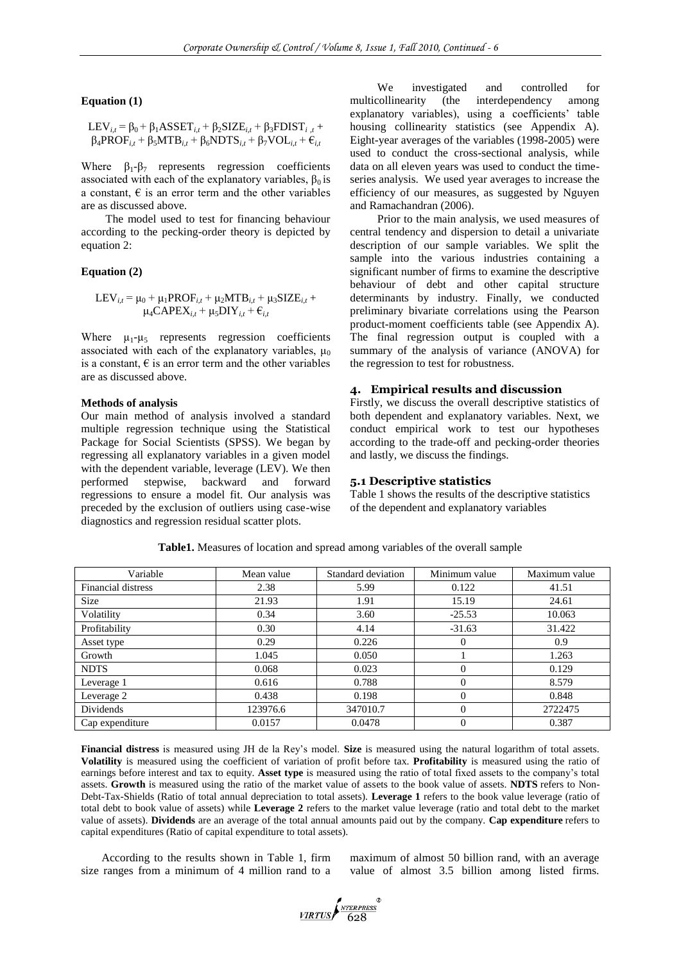#### **Equation (1)**

$$
LEV_{i,t} = \beta_0 + \beta_1 ASSET_{i,t} + \beta_2 SIZE_{i,t} + \beta_3 FDIST_{i,t} + \beta_4 PROF_{i,t} + \beta_5 MTB_{i,t} + \beta_6 NDTS_{i,t} + \beta_7 VOL_{i,t} + \varepsilon_{i,t}
$$

Where  $\beta_1 - \beta_7$  represents regression coefficients associated with each of the explanatory variables,  $\beta_0$  is a constant,  $\epsilon$  is an error term and the other variables are as discussed above.

The model used to test for financing behaviour according to the pecking-order theory is depicted by equation 2:

## **Equation (2)**

$$
LEV_{i,t} = \mu_0 + \mu_1 PROF_{i,t} + \mu_2 MTB_{i,t} + \mu_3 SIZE_{i,t} + \mu_4 CAPEX_{i,t} + \mu_5 DIV_{i,t} + \varepsilon_{i,t}
$$

Where  $\mu_1-\mu_5$  represents regression coefficients associated with each of the explanatory variables,  $\mu_0$ is a constant,  $\epsilon$  is an error term and the other variables are as discussed above.

#### **Methods of analysis**

Our main method of analysis involved a standard multiple regression technique using the Statistical Package for Social Scientists (SPSS). We began by regressing all explanatory variables in a given model with the dependent variable, leverage (LEV). We then performed stepwise, backward and forward regressions to ensure a model fit. Our analysis was preceded by the exclusion of outliers using case-wise diagnostics and regression residual scatter plots.

We investigated and controlled for multicollinearity (the interdependency among explanatory variables), using a coefficients' table housing collinearity statistics (see Appendix A). Eight-year averages of the variables (1998-2005) were used to conduct the cross-sectional analysis, while data on all eleven years was used to conduct the timeseries analysis. We used year averages to increase the efficiency of our measures, as suggested by Nguyen and Ramachandran (2006).

Prior to the main analysis, we used measures of central tendency and dispersion to detail a univariate description of our sample variables. We split the sample into the various industries containing a significant number of firms to examine the descriptive behaviour of debt and other capital structure determinants by industry. Finally, we conducted preliminary bivariate correlations using the Pearson product-moment coefficients table (see Appendix A). The final regression output is coupled with a summary of the analysis of variance (ANOVA) for the regression to test for robustness.

## **4. Empirical results and discussion**

Firstly, we discuss the overall descriptive statistics of both dependent and explanatory variables. Next, we conduct empirical work to test our hypotheses according to the trade-off and pecking-order theories and lastly, we discuss the findings.

### **5.1 Descriptive statistics**

Table 1 shows the results of the descriptive statistics of the dependent and explanatory variables

| Variable                  | Mean value | Standard deviation | Minimum value | Maximum value |
|---------------------------|------------|--------------------|---------------|---------------|
| <b>Financial distress</b> | 2.38       | 5.99               | 0.122         | 41.51         |
| <b>Size</b>               | 21.93      | 1.91               | 15.19         | 24.61         |
| Volatility                | 0.34       | 3.60               | $-25.53$      | 10.063        |
| Profitability             | 0.30       | 4.14               | $-31.63$      | 31.422        |
| Asset type                | 0.29       | 0.226              | 0             | 0.9           |
| Growth                    | 1.045      | 0.050              |               | 1.263         |
| <b>NDTS</b>               | 0.068      | 0.023              | 0             | 0.129         |
| Leverage 1                | 0.616      | 0.788              | $\Omega$      | 8.579         |
| Leverage 2                | 0.438      | 0.198              | $\Omega$      | 0.848         |
| Dividends                 | 123976.6   | 347010.7           | $\Omega$      | 2722475       |
| Cap expenditure           | 0.0157     | 0.0478             | $\Omega$      | 0.387         |

**Table1.** Measures of location and spread among variables of the overall sample

**Financial distress** is measured using JH de la Rey"s model. **Size** is measured using the natural logarithm of total assets. **Volatility** is measured using the coefficient of variation of profit before tax. **Profitability** is measured using the ratio of earnings before interest and tax to equity. **Asset type** is measured using the ratio of total fixed assets to the company"s total assets. **Growth** is measured using the ratio of the market value of assets to the book value of assets. **NDTS** refers to Non-Debt-Tax-Shields (Ratio of total annual depreciation to total assets). **Leverage 1** refers to the book value leverage (ratio of total debt to book value of assets) while **Leverage 2** refers to the market value leverage (ratio and total debt to the market value of assets). **Dividends** are an average of the total annual amounts paid out by the company. **Cap expenditure** refers to capital expenditures (Ratio of capital expenditure to total assets).

According to the results shown in Table 1, firm size ranges from a minimum of 4 million rand to a maximum of almost 50 billion rand, with an average value of almost 3.5 billion among listed firms.

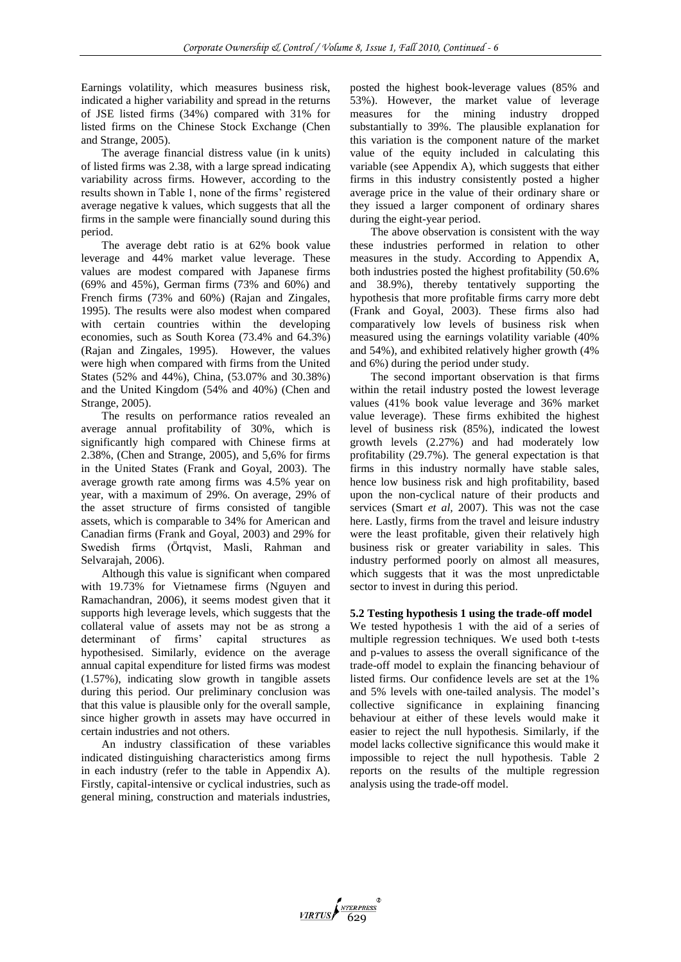Earnings volatility, which measures business risk, indicated a higher variability and spread in the returns of JSE listed firms (34%) compared with 31% for listed firms on the Chinese Stock Exchange (Chen and Strange, 2005).

The average financial distress value (in k units) of listed firms was 2.38, with a large spread indicating variability across firms. However, according to the results shown in Table 1, none of the firms' registered average negative k values, which suggests that all the firms in the sample were financially sound during this period.

The average debt ratio is at 62% book value leverage and 44% market value leverage. These values are modest compared with Japanese firms (69% and 45%), German firms (73% and 60%) and French firms (73% and 60%) (Rajan and Zingales, 1995). The results were also modest when compared with certain countries within the developing economies, such as South Korea (73.4% and 64.3%) (Rajan and Zingales, 1995). However, the values were high when compared with firms from the United States (52% and 44%), China, (53.07% and 30.38%) and the United Kingdom (54% and 40%) (Chen and Strange, 2005).

The results on performance ratios revealed an average annual profitability of 30%, which is significantly high compared with Chinese firms at 2.38%, (Chen and Strange, 2005), and 5,6% for firms in the United States (Frank and Goyal, 2003). The average growth rate among firms was 4.5% year on year, with a maximum of 29%. On average, 29% of the asset structure of firms consisted of tangible assets, which is comparable to 34% for American and Canadian firms (Frank and Goyal, 2003) and 29% for Swedish firms (Örtqvist, Masli, Rahman and Selvarajah, 2006).

Although this value is significant when compared with 19.73% for Vietnamese firms (Nguyen and Ramachandran, 2006), it seems modest given that it supports high leverage levels, which suggests that the collateral value of assets may not be as strong a determinant of firms' capital structures as hypothesised. Similarly, evidence on the average annual capital expenditure for listed firms was modest (1.57%), indicating slow growth in tangible assets during this period. Our preliminary conclusion was that this value is plausible only for the overall sample, since higher growth in assets may have occurred in certain industries and not others.

An industry classification of these variables indicated distinguishing characteristics among firms in each industry (refer to the table in Appendix A). Firstly, capital-intensive or cyclical industries, such as general mining, construction and materials industries, posted the highest book-leverage values (85% and 53%). However, the market value of leverage measures for the mining industry dropped substantially to 39%. The plausible explanation for this variation is the component nature of the market value of the equity included in calculating this variable (see Appendix A), which suggests that either firms in this industry consistently posted a higher average price in the value of their ordinary share or they issued a larger component of ordinary shares during the eight-year period.

The above observation is consistent with the way these industries performed in relation to other measures in the study. According to Appendix A, both industries posted the highest profitability (50.6% and 38.9%), thereby tentatively supporting the hypothesis that more profitable firms carry more debt (Frank and Goyal, 2003). These firms also had comparatively low levels of business risk when measured using the earnings volatility variable (40% and 54%), and exhibited relatively higher growth (4% and 6%) during the period under study.

The second important observation is that firms within the retail industry posted the lowest leverage values (41% book value leverage and 36% market value leverage). These firms exhibited the highest level of business risk (85%), indicated the lowest growth levels (2.27%) and had moderately low profitability (29.7%). The general expectation is that firms in this industry normally have stable sales, hence low business risk and high profitability, based upon the non-cyclical nature of their products and services (Smart *et al,* 2007). This was not the case here. Lastly, firms from the travel and leisure industry were the least profitable, given their relatively high business risk or greater variability in sales. This industry performed poorly on almost all measures, which suggests that it was the most unpredictable sector to invest in during this period.

## **5.2 Testing hypothesis 1 using the trade-off model**

We tested hypothesis 1 with the aid of a series of multiple regression techniques. We used both t-tests and p-values to assess the overall significance of the trade-off model to explain the financing behaviour of listed firms. Our confidence levels are set at the 1% and 5% levels with one-tailed analysis. The model"s collective significance in explaining financing behaviour at either of these levels would make it easier to reject the null hypothesis. Similarly, if the model lacks collective significance this would make it impossible to reject the null hypothesis. Table 2 reports on the results of the multiple regression analysis using the trade-off model.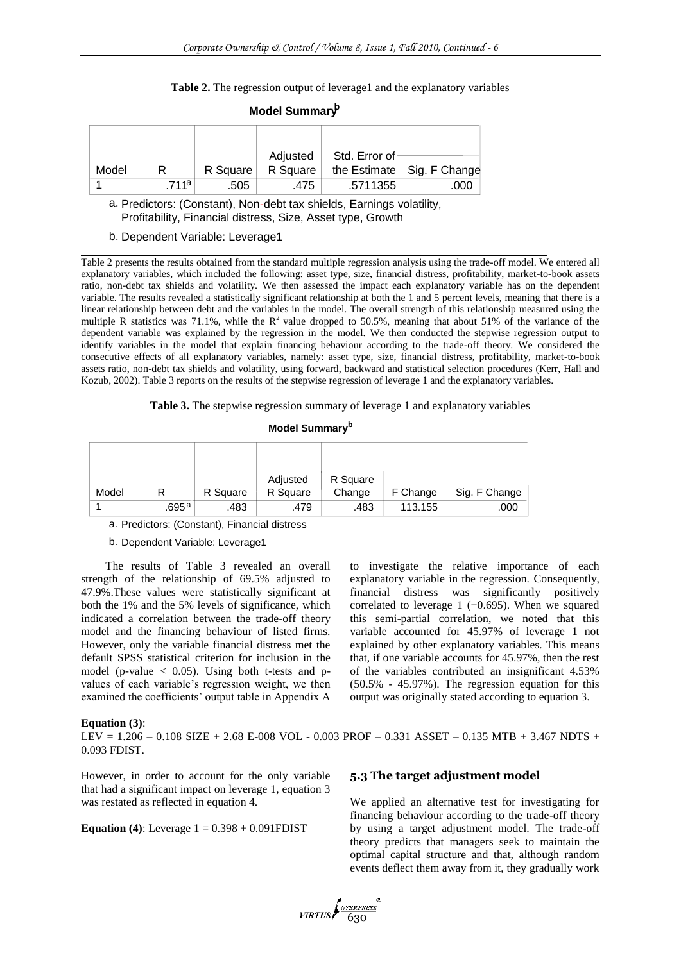Table 2. The regression output of leverage1 and the explanatory variables

|       |                  |          | Adjusted | Std. Error of |               |
|-------|------------------|----------|----------|---------------|---------------|
| Model | R                | R Square | R Square | the Estimate  | Sig. F Change |
|       | 711 <sup>a</sup> | .505     | .475     | .5711355      | .000          |

## **Model Summary<sup>b</sup>**

a. Predictors: (Constant), Non-debt tax shields, Earnings volatility, Profitability, Financial distress, Size, Asset type, Growth

#### b. Dependent Variable: Leverage1

Table 2 presents the results obtained from the standard multiple regression analysis using the trade-off model. We entered all explanatory variables, which included the following: asset type, size, financial distress, profitability, market-to-book assets ratio, non-debt tax shields and volatility. We then assessed the impact each explanatory variable has on the dependent variable. The results revealed a statistically significant relationship at both the 1 and 5 percent levels, meaning that there is a linear relationship between debt and the variables in the model. The overall strength of this relationship measured using the multiple R statistics was 71.1%, while the  $R^2$  value dropped to 50.5%, meaning that about 51% of the variance of the dependent variable was explained by the regression in the model. We then conducted the stepwise regression output to identify variables in the model that explain financing behaviour according to the trade-off theory. We considered the consecutive effects of all explanatory variables, namely: asset type, size, financial distress, profitability, market-to-book assets ratio, non-debt tax shields and volatility, using forward, backward and statistical selection procedures (Kerr, Hall and Kozub, 2002). Table 3 reports on the results of the stepwise regression of leverage 1 and the explanatory variables.

**Table 3.** The stepwise regression summary of leverage 1 and explanatory variables

## **Model Summary<sup>b</sup>**

|       |       |          | Adjusted | R Square |          |               |
|-------|-------|----------|----------|----------|----------|---------------|
| Model |       | R Square | R Square | Change   | F Change | Sig. F Change |
|       | .695ª | .483     | .479     | .483     | 113.155  | .000          |

a. Predictors: (Constant), Financial distress

b. Dependent Variable: Leverage1

The results of Table 3 revealed an overall strength of the relationship of 69.5% adjusted to 47.9%.These values were statistically significant at both the 1% and the 5% levels of significance, which indicated a correlation between the trade-off theory model and the financing behaviour of listed firms. However, only the variable financial distress met the default SPSS statistical criterion for inclusion in the model (p-value  $<$  0.05). Using both t-tests and pvalues of each variable"s regression weight, we then examined the coefficients' output table in Appendix A

## **Equation (3)**:

LEV = 1.206 – 0.108 SIZE + 2.68 E-008 VOL - 0.003 PROF – 0.331 ASSET – 0.135 MTB + 3.467 NDTS + 0.093 FDIST.

However, in order to account for the only variable that had a significant impact on leverage 1, equation 3 was restated as reflected in equation 4.

**Equation (4)**: Leverage 1 = 0.398 + 0.091FDIST

to investigate the relative importance of each explanatory variable in the regression. Consequently, financial distress was significantly positively correlated to leverage 1  $(+0.695)$ . When we squared this semi-partial correlation, we noted that this variable accounted for 45.97% of leverage 1 not explained by other explanatory variables. This means that, if one variable accounts for 45.97%, then the rest of the variables contributed an insignificant 4.53% (50.5% - 45.97%). The regression equation for this output was originally stated according to equation 3.

## **5.3 The target adjustment model**

We applied an alternative test for investigating for financing behaviour according to the trade-off theory by using a target adjustment model. The trade-off theory predicts that managers seek to maintain the optimal capital structure and that, although random events deflect them away from it, they gradually work

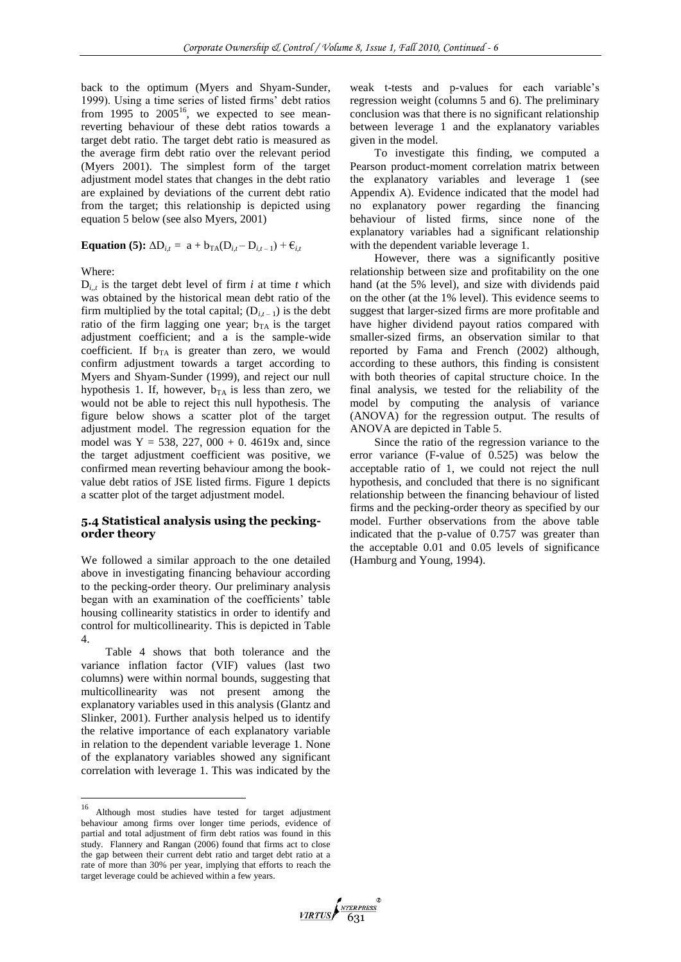back to the optimum (Myers and Shyam-Sunder, 1999). Using a time series of listed firms' debt ratios from  $1995$  to  $2005^{16}$ , we expected to see meanreverting behaviour of these debt ratios towards a target debt ratio. The target debt ratio is measured as the average firm debt ratio over the relevant period (Myers 2001). The simplest form of the target adjustment model states that changes in the debt ratio are explained by deviations of the current debt ratio from the target; this relationship is depicted using equation 5 below (see also Myers, 2001)

**Equation (5):**  $\Delta D_{i,t} = a + b_{TA}(D_{i,t} - D_{i,t-1}) + \epsilon_{i,t}$ 

Where:

 $D_{i,t}$  is the target debt level of firm *i* at time *t* which was obtained by the historical mean debt ratio of the firm multiplied by the total capital;  $(D_{i,t-1})$  is the debt ratio of the firm lagging one year;  $b_{TA}$  is the target adjustment coefficient; and a is the sample-wide coefficient. If  $b_{TA}$  is greater than zero, we would confirm adjustment towards a target according to Myers and Shyam-Sunder (1999), and reject our null hypothesis 1. If, however,  $b_{TA}$  is less than zero, we would not be able to reject this null hypothesis. The figure below shows a scatter plot of the target adjustment model. The regression equation for the model was  $Y = 538, 227, 000 + 0.4619x$  and, since the target adjustment coefficient was positive, we confirmed mean reverting behaviour among the bookvalue debt ratios of JSE listed firms. Figure 1 depicts a scatter plot of the target adjustment model.

## **5.4 Statistical analysis using the peckingorder theory**

We followed a similar approach to the one detailed above in investigating financing behaviour according to the pecking-order theory. Our preliminary analysis began with an examination of the coefficients' table housing collinearity statistics in order to identify and control for multicollinearity. This is depicted in Table 4.

Table 4 shows that both tolerance and the variance inflation factor (VIF) values (last two columns) were within normal bounds, suggesting that multicollinearity was not present among the explanatory variables used in this analysis (Glantz and Slinker, 2001). Further analysis helped us to identify the relative importance of each explanatory variable in relation to the dependent variable leverage 1. None of the explanatory variables showed any significant correlation with leverage 1. This was indicated by the

weak t-tests and p-values for each variable"s regression weight (columns 5 and 6). The preliminary conclusion was that there is no significant relationship between leverage 1 and the explanatory variables given in the model.

To investigate this finding, we computed a Pearson product-moment correlation matrix between the explanatory variables and leverage 1 (see Appendix A). Evidence indicated that the model had no explanatory power regarding the financing behaviour of listed firms, since none of the explanatory variables had a significant relationship with the dependent variable leverage 1.

However, there was a significantly positive relationship between size and profitability on the one hand (at the 5% level), and size with dividends paid on the other (at the 1% level). This evidence seems to suggest that larger-sized firms are more profitable and have higher dividend payout ratios compared with smaller-sized firms, an observation similar to that reported by Fama and French (2002) although, according to these authors, this finding is consistent with both theories of capital structure choice. In the final analysis, we tested for the reliability of the model by computing the analysis of variance (ANOVA) for the regression output. The results of ANOVA are depicted in Table 5.

Since the ratio of the regression variance to the error variance (F-value of 0.525) was below the acceptable ratio of 1, we could not reject the null hypothesis, and concluded that there is no significant relationship between the financing behaviour of listed firms and the pecking-order theory as specified by our model. Further observations from the above table indicated that the p-value of 0.757 was greater than the acceptable 0.01 and 0.05 levels of significance (Hamburg and Young, 1994).

 $16\,$ Although most studies have tested for target adjustment behaviour among firms over longer time periods, evidence of partial and total adjustment of firm debt ratios was found in this study. Flannery and Rangan (2006) found that firms act to close the gap between their current debt ratio and target debt ratio at a rate of more than 30% per year, implying that efforts to reach the target leverage could be achieved within a few years.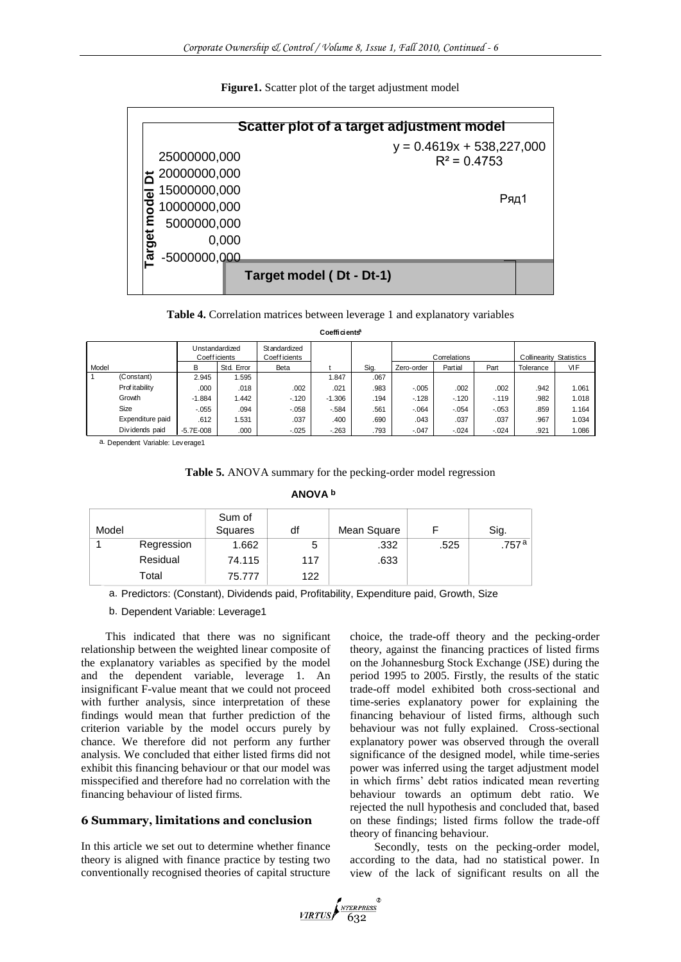**Figure1.** Scatter plot of the target adjustment model

|                                         | Scatter plot of a target adjustment model     |
|-----------------------------------------|-----------------------------------------------|
| 25000000,000                            | $y = 0.4619x + 538,227,000$<br>$R^2$ = 0.4753 |
| 20000000,000                            |                                               |
| 15000000,000<br>$\overline{\mathbf{a}}$ | Ряд1                                          |
| 10000000,000                            |                                               |
| 5000000,000                             |                                               |
| arget<br>0,000                          |                                               |
| -5000000,000                            |                                               |
| Target model (Dt - Dt-1)                |                                               |

|       |                  |               |                | <b>Table 4.</b> Correlation matrices between leverage 1 and explanatory variables |                           |      |            |              |         |                                |       |
|-------|------------------|---------------|----------------|-----------------------------------------------------------------------------------|---------------------------|------|------------|--------------|---------|--------------------------------|-------|
|       |                  |               |                |                                                                                   | Coefficients <sup>a</sup> |      |            |              |         |                                |       |
|       |                  | Coeff icients | Unstandardized | Standardized<br><b>Coefficients</b>                                               |                           |      |            | Correlations |         | <b>Collinearity Statistics</b> |       |
| Model |                  | В             | Std. Error     | Beta                                                                              |                           | Sig. | Zero-order | Partial      | Part    | Tolerance                      | VIF   |
|       | (Constant)       | 2.945         | 1.595          |                                                                                   | 1.847                     | .067 |            |              |         |                                |       |
|       | Prof itability   | .000          | .018           | .002                                                                              | .021                      | .983 | $-.005$    | .002         | .002    | .942                           | 1.061 |
|       | Growth           | $-1.884$      | 1.442          | $-120$                                                                            | $-1.306$                  | .194 | $-128$     | $-120$       | $-119$  | .982                           | 1.018 |
|       | Size             | $-0.055$      | .094           | $-.058$                                                                           | $-584$                    | .561 | $-.064$    | $-.054$      | $-.053$ | .859                           | 1.164 |
|       | Expenditure paid | .612          | 1.531          | .037                                                                              | .400                      | .690 | .043       | .037         | .037    | .967                           | 1.034 |
|       | Dividends paid   | $-5.7E - 008$ | .000           | $-0.025$                                                                          | $-263$                    | .793 | $-.047$    | $-.024$      | $-.024$ | .921                           | 1.086 |

a. Dependent Variable: Leverage1

**Table 5.** ANOVA summary for the pecking-order model regression

**ANOVA b**

| Model |            | Sum of<br>Squares | df  | Mean Square |      | Sig.  |
|-------|------------|-------------------|-----|-------------|------|-------|
|       | Regression | 1.662             | 5   | .332        | .525 | .757ª |
|       | Residual   | 74.115            | 117 | .633        |      |       |
|       | Total      | 75.777            | 122 |             |      |       |

a. Predictors: (Constant), Dividends paid, Profitability, Expenditure paid, Growth, Size

b. Dependent Variable: Leverage1

This indicated that there was no significant relationship between the weighted linear composite of the explanatory variables as specified by the model and the dependent variable, leverage 1. An insignificant F-value meant that we could not proceed with further analysis, since interpretation of these findings would mean that further prediction of the criterion variable by the model occurs purely by chance. We therefore did not perform any further analysis. We concluded that either listed firms did not exhibit this financing behaviour or that our model was misspecified and therefore had no correlation with the financing behaviour of listed firms.

## **6 Summary, limitations and conclusion**

In this article we set out to determine whether finance theory is aligned with finance practice by testing two conventionally recognised theories of capital structure choice, the trade-off theory and the pecking-order theory, against the financing practices of listed firms on the Johannesburg Stock Exchange (JSE) during the period 1995 to 2005. Firstly, the results of the static trade-off model exhibited both cross-sectional and time-series explanatory power for explaining the financing behaviour of listed firms, although such behaviour was not fully explained. Cross-sectional explanatory power was observed through the overall significance of the designed model, while time-series power was inferred using the target adjustment model in which firms' debt ratios indicated mean reverting behaviour towards an optimum debt ratio. We rejected the null hypothesis and concluded that, based on these findings; listed firms follow the trade-off theory of financing behaviour.

Secondly, tests on the pecking-order model, according to the data, had no statistical power. In view of the lack of significant results on all the

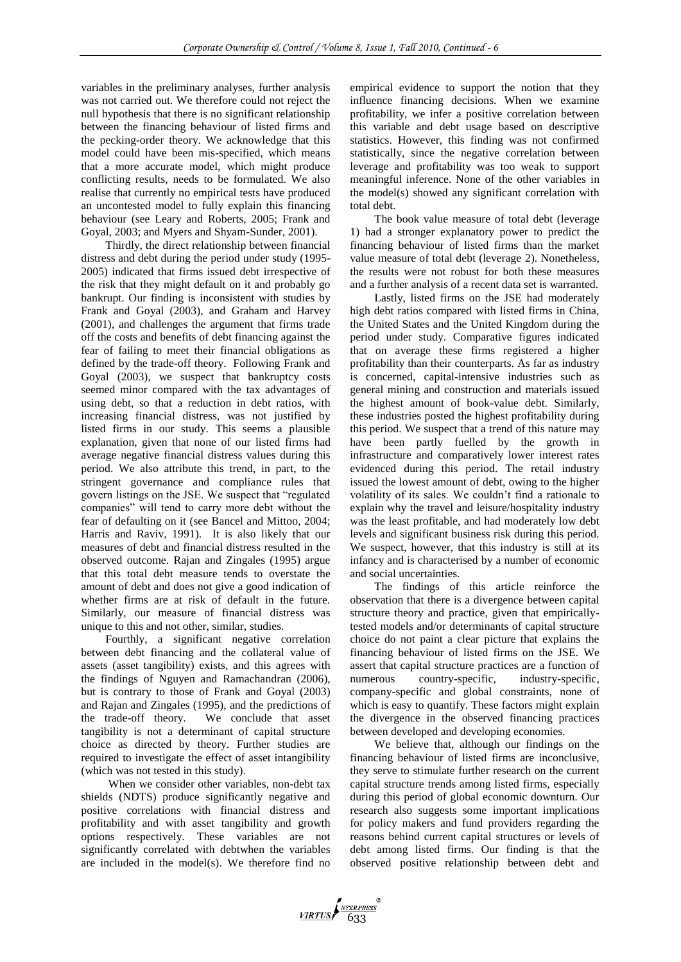variables in the preliminary analyses, further analysis was not carried out. We therefore could not reject the null hypothesis that there is no significant relationship between the financing behaviour of listed firms and the pecking-order theory. We acknowledge that this model could have been mis-specified, which means that a more accurate model, which might produce conflicting results, needs to be formulated. We also realise that currently no empirical tests have produced an uncontested model to fully explain this financing behaviour (see Leary and Roberts, 2005; Frank and Goyal, 2003; and Myers and Shyam-Sunder, 2001).

Thirdly, the direct relationship between financial distress and debt during the period under study (1995- 2005) indicated that firms issued debt irrespective of the risk that they might default on it and probably go bankrupt. Our finding is inconsistent with studies by Frank and Goyal (2003), and Graham and Harvey (2001), and challenges the argument that firms trade off the costs and benefits of debt financing against the fear of failing to meet their financial obligations as defined by the trade-off theory. Following Frank and Goyal (2003), we suspect that bankruptcy costs seemed minor compared with the tax advantages of using debt, so that a reduction in debt ratios, with increasing financial distress, was not justified by listed firms in our study. This seems a plausible explanation, given that none of our listed firms had average negative financial distress values during this period. We also attribute this trend, in part, to the stringent governance and compliance rules that govern listings on the JSE. We suspect that "regulated companies" will tend to carry more debt without the fear of defaulting on it (see Bancel and Mittoo, 2004; Harris and Raviv, 1991). It is also likely that our measures of debt and financial distress resulted in the observed outcome. Rajan and Zingales (1995) argue that this total debt measure tends to overstate the amount of debt and does not give a good indication of whether firms are at risk of default in the future. Similarly, our measure of financial distress was unique to this and not other, similar, studies.

Fourthly, a significant negative correlation between debt financing and the collateral value of assets (asset tangibility) exists, and this agrees with the findings of Nguyen and Ramachandran (2006), but is contrary to those of Frank and Goyal (2003) and Rajan and Zingales (1995), and the predictions of the trade-off theory. We conclude that asset tangibility is not a determinant of capital structure choice as directed by theory. Further studies are required to investigate the effect of asset intangibility (which was not tested in this study).

When we consider other variables, non-debt tax shields (NDTS) produce significantly negative and positive correlations with financial distress and profitability and with asset tangibility and growth options respectively. These variables are not significantly correlated with debtwhen the variables are included in the model(s). We therefore find no

empirical evidence to support the notion that they influence financing decisions. When we examine profitability, we infer a positive correlation between this variable and debt usage based on descriptive statistics. However, this finding was not confirmed statistically, since the negative correlation between leverage and profitability was too weak to support meaningful inference. None of the other variables in the model(s) showed any significant correlation with total debt.

The book value measure of total debt (leverage 1) had a stronger explanatory power to predict the financing behaviour of listed firms than the market value measure of total debt (leverage 2). Nonetheless, the results were not robust for both these measures and a further analysis of a recent data set is warranted.

Lastly, listed firms on the JSE had moderately high debt ratios compared with listed firms in China, the United States and the United Kingdom during the period under study. Comparative figures indicated that on average these firms registered a higher profitability than their counterparts. As far as industry is concerned, capital-intensive industries such as general mining and construction and materials issued the highest amount of book-value debt. Similarly, these industries posted the highest profitability during this period. We suspect that a trend of this nature may have been partly fuelled by the growth in infrastructure and comparatively lower interest rates evidenced during this period. The retail industry issued the lowest amount of debt, owing to the higher volatility of its sales. We couldn"t find a rationale to explain why the travel and leisure/hospitality industry was the least profitable, and had moderately low debt levels and significant business risk during this period. We suspect, however, that this industry is still at its infancy and is characterised by a number of economic and social uncertainties.

The findings of this article reinforce the observation that there is a divergence between capital structure theory and practice, given that empiricallytested models and/or determinants of capital structure choice do not paint a clear picture that explains the financing behaviour of listed firms on the JSE. We assert that capital structure practices are a function of numerous country-specific, industry-specific, company-specific and global constraints, none of which is easy to quantify. These factors might explain the divergence in the observed financing practices between developed and developing economies.

We believe that, although our findings on the financing behaviour of listed firms are inconclusive, they serve to stimulate further research on the current capital structure trends among listed firms, especially during this period of global economic downturn. Our research also suggests some important implications for policy makers and fund providers regarding the reasons behind current capital structures or levels of debt among listed firms. Our finding is that the observed positive relationship between debt and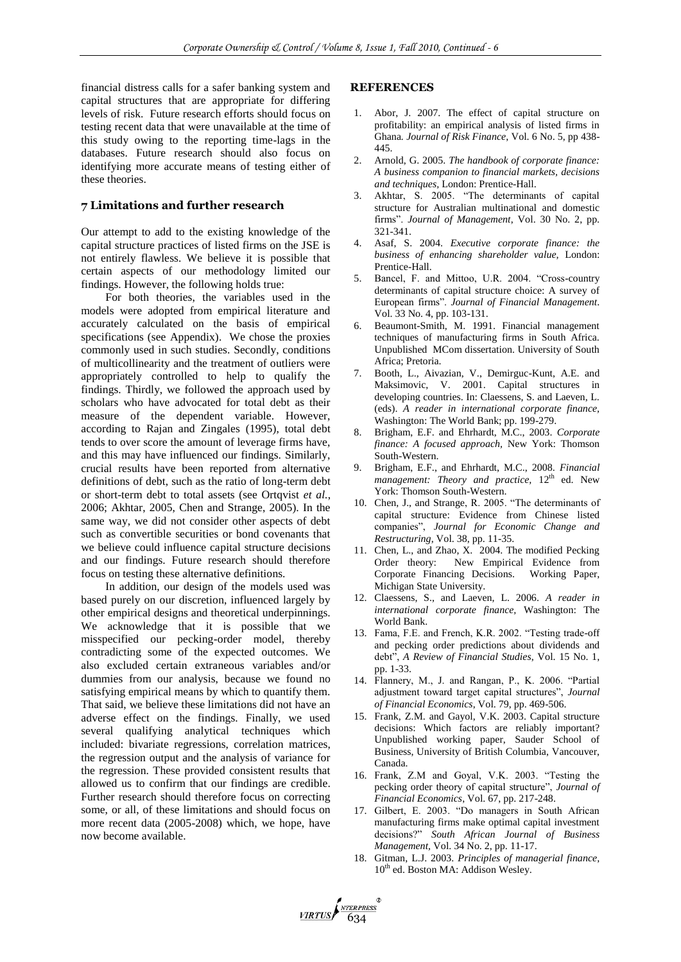financial distress calls for a safer banking system and capital structures that are appropriate for differing levels of risk. Future research efforts should focus on testing recent data that were unavailable at the time of this study owing to the reporting time-lags in the databases. Future research should also focus on identifying more accurate means of testing either of these theories.

## **7 Limitations and further research**

Our attempt to add to the existing knowledge of the capital structure practices of listed firms on the JSE is not entirely flawless. We believe it is possible that certain aspects of our methodology limited our findings. However, the following holds true:

For both theories, the variables used in the models were adopted from empirical literature and accurately calculated on the basis of empirical specifications (see Appendix). We chose the proxies commonly used in such studies. Secondly, conditions of multicollinearity and the treatment of outliers were appropriately controlled to help to qualify the findings. Thirdly, we followed the approach used by scholars who have advocated for total debt as their measure of the dependent variable. However, according to Rajan and Zingales (1995), total debt tends to over score the amount of leverage firms have, and this may have influenced our findings. Similarly, crucial results have been reported from alternative definitions of debt, such as the ratio of long-term debt or short-term debt to total assets (see Ortqvist *et al.*, 2006; Akhtar, 2005, Chen and Strange, 2005). In the same way, we did not consider other aspects of debt such as convertible securities or bond covenants that we believe could influence capital structure decisions and our findings. Future research should therefore focus on testing these alternative definitions.

In addition, our design of the models used was based purely on our discretion, influenced largely by other empirical designs and theoretical underpinnings. We acknowledge that it is possible that we misspecified our pecking-order model, thereby contradicting some of the expected outcomes. We also excluded certain extraneous variables and/or dummies from our analysis, because we found no satisfying empirical means by which to quantify them. That said, we believe these limitations did not have an adverse effect on the findings. Finally, we used several qualifying analytical techniques which included: bivariate regressions, correlation matrices, the regression output and the analysis of variance for the regression. These provided consistent results that allowed us to confirm that our findings are credible. Further research should therefore focus on correcting some, or all, of these limitations and should focus on more recent data (2005-2008) which, we hope, have now become available.

#### **REFERENCES**

- 1. Abor, J. 2007. The effect of capital structure on profitability: an empirical analysis of listed firms in Ghana*. Journal of Risk Finance*, Vol. 6 No. 5, pp 438- 445.
- 2. Arnold, G. 2005. *The handbook of corporate finance: A business companion to financial markets, decisions and techniques,* London: Prentice-Hall.
- 3. Akhtar, S. 2005. "The determinants of capital structure for Australian multinational and domestic firms". *Journal of Management*, Vol. 30 No. 2, pp. 321-341.
- 4. Asaf, S. 2004. *Executive corporate finance: the business of enhancing shareholder value,* London: Prentice-Hall.
- 5. Bancel, F. and Mittoo, U.R. 2004. "Cross-country determinants of capital structure choice: A survey of European firms". *Journal of Financial Management*. Vol. 33 No. 4, pp. 103-131.
- 6. Beaumont-Smith, M. 1991. Financial management techniques of manufacturing firms in South Africa. Unpublished MCom dissertation. University of South Africa; Pretoria.
- 7. Booth, L., Aivazian, V., Demirguc-Kunt, A.E. and Maksimovic, V. 2001. Capital structures in developing countries. In: Claessens, S. and Laeven, L. (eds). *A reader in international corporate finance,* Washington: The World Bank; pp. 199-279.
- 8. Brigham, E.F. and Ehrhardt, M.C., 2003. *Corporate finance: A focused approach,* New York: Thomson South-Western.
- 9. Brigham, E.F., and Ehrhardt, M.C., 2008. *Financial management: Theory and practice,* 12<sup>th</sup> ed. New York: Thomson South-Western.
- 10. Chen, J., and Strange, R. 2005. "The determinants of capital structure: Evidence from Chinese listed companies", *Journal for Economic Change and Restructuring*, Vol. 38, pp. 11-35.
- 11. Chen, L., and Zhao, X. 2004. The modified Pecking Order theory: New Empirical Evidence from Corporate Financing Decisions. Working Paper, Michigan State University.
- 12. Claessens, S., and Laeven, L. 2006. *A reader in international corporate finance,* Washington: The World Bank.
- 13. Fama, F.E. and French, K.R. 2002. "Testing trade-off and pecking order predictions about dividends and debt", *A Review of Financial Studies*, Vol. 15 No. 1, pp. 1-33.
- 14. Flannery, M., J. and Rangan, P., K. 2006. "Partial adjustment toward target capital structures", *Journal of Financial Economics*, Vol. 79, pp. 469-506.
- 15. Frank, Z.M. and Gayol, V.K. 2003. Capital structure decisions: Which factors are reliably important? Unpublished working paper, Sauder School of Business, University of British Columbia, Vancouver, Canada.
- 16. Frank, Z.M and Goyal, V.K. 2003. "Testing the pecking order theory of capital structure", *Journal of Financial Economics*, Vol. 67, pp. 217-248.
- 17. Gilbert, E. 2003. "Do managers in South African manufacturing firms make optimal capital investment decisions?" *South African Journal of Business Management,* Vol. 34 No. 2, pp. 11-17.
- 18. Gitman, L.J. 2003. *Principles of managerial finance,*  $10^{th}$  ed. Boston MA: Addison Wesley.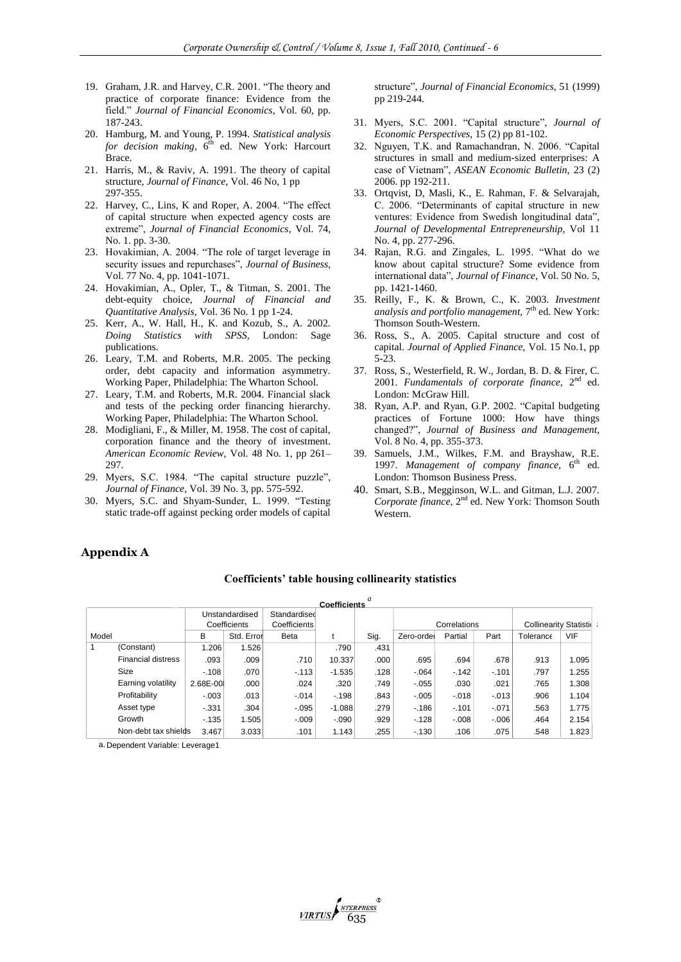- 19. Graham, J.R. and Harvey, C.R. 2001. "The theory and practice of corporate finance: Evidence from the field." *Journal of Financial Economics*, Vol. 60, pp. 187-243.
- 20. Hamburg, M. and Young, P. 1994. *Statistical analysis*  for decision making, 6<sup>th</sup> ed. New York: Harcourt Brace.
- 21. Harris, M., & Raviv, A. 1991. The theory of capital structure, *Journal of Finance,* Vol. 46 No, 1 pp 297-355.
- 22. Harvey, C., Lins, K and Roper, A. 2004. "The effect of capital structure when expected agency costs are extreme", *Journal of Financial Economics*, Vol. 74, No. 1. pp. 3-30.
- 23. Hovakimian, A. 2004. "The role of target leverage in security issues and repurchases", *Journal of Business*, Vol. 77 No. 4, pp. 1041-1071.
- 24. Hovakimian, A., Opler, T., & Titman, S. 2001. The debt-equity choice, *Journal of Financial and Quantitative Analysis,* Vol. 36 No. 1 pp 1-24.
- 25. Kerr, A., W. Hall, H., K. and Kozub, S., A. 2002. *Doing Statistics with SPSS,* London: Sage publications.
- 26. Leary, T.M. and Roberts, M.R. 2005. The pecking order, debt capacity and information asymmetry. Working Paper, Philadelphia: The Wharton School.
- 27. Leary, T.M. and Roberts, M.R. 2004. Financial slack and tests of the pecking order financing hierarchy. Working Paper, Philadelphia: The Wharton School.
- 28. Modigliani, F., & Miller, M. 1958. The cost of capital, corporation finance and the theory of investment. *American Economic Review,* Vol. 48 No. 1, pp 261– 297.
- 29. Myers, S.C. 1984. "The capital structure puzzle", *Journal of Finance*, Vol. 39 No. 3, pp. 575-592.
- 30. Myers, S.C. and Shyam-Sunder, L. 1999. "Testing static trade-off against pecking order models of capital

structure", *Journal of Financial Economics,* 51 (1999) pp 219-244.

- 31. Myers, S.C. 2001. "Capital structure", *Journal of Economic Perspectives*, 15 (2) pp 81-102.
- 32. Nguyen, T.K. and Ramachandran, N. 2006. "Capital structures in small and medium-sized enterprises: A case of Vietnam", *ASEAN Economic Bulletin,* 23 (2) 2006. pp 192-211.
- 33. Ortqvist, D, Masli, K., E. Rahman, F. & Selvarajah, C. 2006. "Determinants of capital structure in new ventures: Evidence from Swedish longitudinal data", *Journal of Developmental Entrepreneurship,* Vol 11 No. 4, pp. 277-296.
- 34. Rajan, R.G. and Zingales, L. 1995. "What do we know about capital structure? Some evidence from international data", *Journal of Finance*, Vol. 50 No. 5, pp. 1421-1460.
- 35. Reilly, F., K. & Brown, C., K. 2003. *Investment*  analysis and portfolio management, 7<sup>th</sup> ed. New York: Thomson South-Western.
- 36. Ross, S., A. 2005. Capital structure and cost of capital. *Journal of Applied Finance,* Vol. 15 No.1, pp 5-23.
- 37. Ross, S., Westerfield, R. W., Jordan, B. D. & Firer, C. 2001. Fundamentals of corporate finance, 2<sup>nd</sup> ed. London: McGraw Hill.
- 38. Ryan, A.P. and Ryan, G.P. 2002. "Capital budgeting practices of Fortune 1000: How have things changed?", *Journal of Business and Management*, Vol. 8 No. 4, pp. 355-373.
- 39. Samuels, J.M., Wilkes, F.M. and Brayshaw, R.E. 1997. Management of company finance, 6<sup>th</sup> ed. London: Thomson Business Press.
- 40. Smart, S.B., Megginson, W.L. and Gitman, L.J. 2007. Corporate finance, 2<sup>nd</sup> ed. New York: Thomson South Western.

## **Appendix A**

## **Coefficients' table housing collinearity statistics**

|       |                           |          |                |              | <b>Coefficients</b> |      |            |              |          |                               |            |
|-------|---------------------------|----------|----------------|--------------|---------------------|------|------------|--------------|----------|-------------------------------|------------|
|       |                           |          | Unstandardised | Standardised |                     |      |            |              |          |                               |            |
|       |                           |          | Coefficients   | Coefficients |                     |      |            | Correlations |          | <b>Collinearity Statistio</b> |            |
| Model |                           | В        | Std. Error     | <b>Beta</b>  |                     | Sig. | Zero-ordel | Partial      | Part     | Tolerance                     | <b>VIF</b> |
|       | (Constant)                | 1.206    | 1.526          |              | .790                | .431 |            |              |          |                               |            |
|       | <b>Financial distress</b> | .093     | .009           | .710         | 10.337              | .000 | .695       | .694         | .678     | .913                          | 1.095      |
|       | Size                      | $-108$   | .070           | $-113$       | $-1.535$            | .128 | $-064$     | $-142$       | $-.101$  | .797                          | 1.255      |
|       | Earning volatility        | 2.68E-00 | .000           | .024         | .320                | .749 | $-0.055$   | .030         | .021     | .765                          | 1.308      |
|       | Profitability             | $-.003$  | .013           | $-0.014$     | $-198$              | .843 | $-.005$    | $-0.018$     | $-0.013$ | .906                          | 1.104      |
|       | Asset type                | $-331$   | .304           | $-0.095$     | $-1.088$            | .279 | $-186$     | $-101$       | $-.071$  | .563                          | 1.775      |
|       | Growth                    | $-135$   | 1.505          | $-0.09$      | $-.090$             | .929 | $-128$     | $-0.08$      | $-0.006$ | .464                          | 2.154      |
|       | Non-debt tax shields      | 3.467    | 3.033          | .101         | 1.143               | .255 | $-130$     | .106         | .075     | .548                          | 1.823      |

a. Dependent Variable: Leverage1